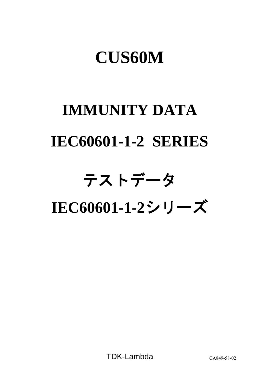## **CUS60M**

# **IMMUNITY DATA IEC60601-1-2 SERIES**

## テストデータ

**IEC60601-1-2**シリーズ

TDK-Lambda CA849-58-02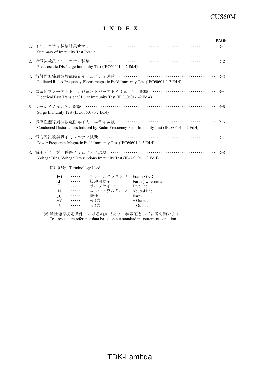#### CUS60M

#### **I N D E X**

|                                                                                                                                           | <b>PAGE</b> |
|-------------------------------------------------------------------------------------------------------------------------------------------|-------------|
| Summary of Immunity Test Result                                                                                                           |             |
| Electrostatic Discharge Immunity Test (IEC60601-1-2 Ed.4)                                                                                 |             |
| Radiated Radio-Frequency Electromagnetic Field Immunity Test (IEC60601-1-2 Ed.4)                                                          |             |
| 4. 電気的ファーストトランジェントバーストイミュニティ試験 ······························· R-4<br>Electrical Fast Transient / Burst Immunity Test (IEC60601-1-2 Ed.4) |             |
| Surge Immunity Test (IEC60601-1-2 Ed.4)                                                                                                   |             |
| Conducted Disturbances Induced by Radio-Frequency Field Immunity Test (IEC60601-1-2 Ed.4)                                                 |             |
| Power Frequency Magnetic Field Immunity Test (IEC60601-1-2 Ed.4)                                                                          |             |
| Voltage Dips, Voltage Interruptions Immunity Test (IEC60601-1-2 Ed.4)                                                                     |             |
| 使用記号 Terminology Used                                                                                                                     |             |
| FG …… フレームグラウンド Frame GND<br><del>▲</del> ・・・・・ 接地用端子      Earth ( <del>▲</del> terminal                                                  |             |

| FG     | .        | フレームグラウンド | Frame GND              |
|--------|----------|-----------|------------------------|
| $\div$ | .        | 接地用端子     | Earth $($ $=$ terminal |
| L      | $\cdots$ | ライブライン    | Live line              |
| N      | .        | ニュートラルライン | Neutral line           |
|        | .        | 接地        | Earth                  |
| $+V$   | $\cdots$ | +出力       | $+$ Output             |
| $-V$   | .        | - 出力      | - Output               |
|        |          |           |                        |

※ 当社標準測定条件における結果であり、参考値としてお考え願います。 Test results are reference data based on our standard measurement condition.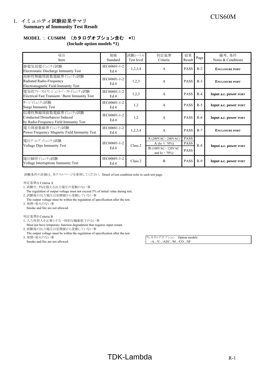#### CUS60M 1.イミュニティ試験結果サマリ **Summary of Immunity Test Result**

### **MODEL** : **CUS60M** (カタログオプション含む \*1)

**(Include option models \*1)**

| 項目<br>Item                                                                                      | 規格<br>Standard       | 試験レベル<br>Test level | 判定基準<br>Criteria                      | 結果<br>Result | Page  | 備考、条件<br>Notes & Conditions |  |
|-------------------------------------------------------------------------------------------------|----------------------|---------------------|---------------------------------------|--------------|-------|-----------------------------|--|
| 静電気放電代ュニテイ試験<br>Electrostatic Discharge Immunity Test                                           | IEC60601-1-2<br>Ed.4 | 1,2,3,4             | A                                     | <b>PASS</b>  | $R-2$ | <b>ENCLOSURE PORT</b>       |  |
| 放射性無線周波数電磁界イミュニティ試験<br>Radiated Radio-Frequency<br>Electromagnetic Field Immunity Test          | IEC60601-1-2<br>Ed.4 | 1,2,3               | A                                     | <b>PASS</b>  | $R-3$ | <b>ENCLOSURE PORT</b>       |  |
| 電気的ファーストトランジェントバーストイミュニティ試験<br>Electrical Fast Transient / Burst Immunity Test                  | IEC60601-1-2<br>Ed.4 | 1,2,3               | A                                     | <b>PASS</b>  | $R-4$ | Input a.c. power PORT       |  |
| サージイミュニティ試験<br><b>Surge Immunity Test</b>                                                       | IEC60601-1-2<br>Ed.4 | 1,2                 | A                                     | <b>PASS</b>  | $R-5$ | Input a.c. power PORT       |  |
| 伝導性無線周波数電磁界イミュニティ試験<br>Conducted Disturbances Induced<br>by Radio-Frequency Field Immunity Test | IEC60601-1-2<br>Ed.4 | 1,2                 | A                                     | <b>PASS</b>  | $R-6$ | Input a.c. power PORT       |  |
| 電力周波数磁界代ュニティ試験<br>Power Frequency Magnetic Field Immunity Test                                  | IEC60601-1-2<br>Ed.4 | 1,2,3,4             | A                                     | <b>PASS</b>  | $R-7$ | <b>ENCLOSURE PORT</b>       |  |
| 電圧ディップ イミュティ試験                                                                                  |                      |                     | A (200VAC~240VAC)                     | <b>PASS</b>  |       |                             |  |
| <b>Voltage Dips Immunity Test</b>                                                               | IEC60601-1-2         | Class 2             | A (Io $\leq 70\%$ )                   | <b>PASS</b>  | $R-8$ | Input a.c. power PORT       |  |
|                                                                                                 | Ed.4                 |                     | B (100VAC~120VAC<br>and Io $> 70\%$ ) | <b>PASS</b>  |       |                             |  |
| 電圧瞬停イミュニティ試験<br>Voltage Interruptions Immunity Test                                             | IEC60601-1-2<br>Ed.4 | Class 2             | B                                     | <b>PASS</b>  | $R-9$ | Input a.c. power PORT       |  |

試験条件の詳細は、各テストページを参照してください。 Detail of test condition refer to each test page.

#### 判定基準A Criteria A

- 1. 試験中、5%を超える出力電圧の変動のない事
- The regulation of output voltage must not exceed 5% of initial value during test. 2. 試験後の出力電圧は初期値から変動していない事
- The output voltage must be within the regulation of specification after the test. 3. 発煙・発火のない事
	- Smoke and fire are not allowed.

#### 判定基準B Criteria B

- 1. 入力再投入を必要とする一時的な機能低下のない事
- Must not have temporary function degradation that requires input restart. 2. 試験後の出力電圧は初期値から変動していない事
- The output voltage must be within the regulation of specification after the test.<br>3. 発煙・発火のない事
- Smoke and fire are not allowed.

\*1 カタログオプション Option models<br>/A , /U , /ADJ , /M , /CO , /SF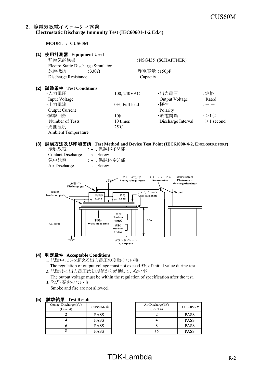#### 2.静電気放電イミュニティ試験 **Electrostatic Discharge Immunity Test (IEC60601-1-2 Ed.4)**

#### **MODEL** : **CUS60M**

| 使用計測器 Equipment Used<br>静電気試験機                                                                                        |                                                                                        |                                                                           |                                                |
|-----------------------------------------------------------------------------------------------------------------------|----------------------------------------------------------------------------------------|---------------------------------------------------------------------------|------------------------------------------------|
| 放電抵抗<br>:330 $\Omega$                                                                                                 |                                                                                        |                                                                           |                                                |
| Discharge Resistance                                                                                                  |                                                                                        |                                                                           |                                                |
| 試験条件 Test Conditions<br>・入力電圧<br>Input Voltage<br>・出力電流<br><b>Output Current</b><br>・試験回数<br>Number of Tests<br>·周囲温度 | $:100, 240$ VAC<br>$:0\%$ , Full load<br>$:10 \square$<br>10 times<br>:25 $\mathrm{C}$ | ・出力電圧<br>Output Voltage<br>・極性<br>Polarity<br>・放電間隔<br>Discharge Interval | :定格<br>Rated<br>$;+, -$<br>:>1秒<br>$>1$ second |
|                                                                                                                       | <b>Ambient Temperature</b>                                                             | Electro Static Discharge Simulator                                        | :NSG435 (SCHAFFNER)<br>静電容量:150pF<br>Capacity  |

#### **(3)** 試験方法及び印加箇所 **Test Method and Device Test Point (IEC61000-4-2, ENCLOSURE PORT)** 接触放電 : +、供試体ネジ部

| Contact Discharge<br>気中放電<br>Air Discharge | $\pm$ , Screw<br>: +、供試体ネジ部<br>$\pm$ , Screw                                                                                 |  |
|--------------------------------------------|------------------------------------------------------------------------------------------------------------------------------|--|
| 放電ガン<br>Discharge gun                      | 静電気試験機<br>アナログ電圧計<br>リターンケーブル<br>Analog voltage meter<br><b>Return cable</b><br>Electro static<br>discharge simulator        |  |
| 絶縁板<br><b>Insulation plate</b>             | Output<br>アルミプレート<br>供試体<br>負荷<br>Aluminum plate<br>D.U.T<br>Load<br>÷<br>EG.                                                |  |
| AC input                                   | 抵抗<br><b>Resistor</b><br>木製台<br>0.8 <sub>m</sub><br>$470k\Omega$<br>Wood made table<br>抵抗<br><b>Resistor</b><br>$470k\Omega$ |  |
|                                            | グランドプレーン<br><b>GND</b> plane                                                                                                 |  |

#### **(4)** 判定条件 **Acceptable Conditions**

1. 試験中、5%を超える出力電圧の変動のない事

The regulation of output voltage must not exceed 5% of initial value during test.

2. 試験後の出力電圧は初期値から変動していない事

 The output voltage must be within the regulation of specification after the test. 3. 発煙・発火のない事

Smoke and fire are not allowed.

#### **(5)** 試験結果 **Test Result**

| .                                   |             |                     |
|-------------------------------------|-------------|---------------------|
| Contact Discharge (kV)<br>(Level 4) | CUS60M- $*$ | Air Discha<br>(Leve |
|                                     | <b>PASS</b> |                     |
|                                     | <b>PASS</b> |                     |
|                                     | <b>PASS</b> |                     |
|                                     | <b>PASS</b> |                     |

| CUS60M-*    | Air Discharge(kV)<br>(Level 4) | CUS60M- $*$ |
|-------------|--------------------------------|-------------|
| <b>PASS</b> |                                | <b>PASS</b> |
| <b>PASS</b> |                                | <b>PASS</b> |
| <b>PASS</b> |                                | <b>PASS</b> |
| <b>PASS</b> |                                | <b>PASS</b> |

#### $TDK-Lambda$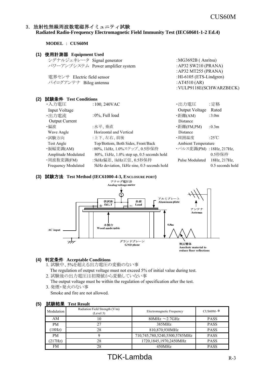#### 3.放射性無線周波数電磁界イミュニティ試験 **Radiated Radio-Frequency Electromagnetic Field Immunity Test (IEC60601-1-2 Ed.4)**

**MODEL** : **CUS60M**

#### **(1)** 使用計測器 **Equipment Used**

| シグナルジェネレータ Signal generator       | : $MG3692B$ (Anritsu)      |
|-----------------------------------|----------------------------|
| パワーアンプシステム Power amplifier system | : AP32 SW210 (PRANA)       |
|                                   | : AP32 MT255 (PRANA)       |
| 電界センサ Electric field sensor       | : $HI-6105$ (ETS-Lindgren) |
| バイログアンテナ Bilog antenna            | : AT4510 $(AR)$            |
|                                   | : VULP9118E(SCHWARZBECK)   |

#### **(2)** 試験条件 **Test Conditions**

| ・入力電圧                      | $:100, 240$ VAC                             | ・出力電圧                   | :定格               |
|----------------------------|---------------------------------------------|-------------------------|-------------------|
| Input Voltage              |                                             | <b>Output Voltage</b>   | Rated             |
| ・出力電流                      | $:0\%$ , Full load                          | ・距離(AM)                 | :3.0 <sub>m</sub> |
| <b>Output Current</b>      |                                             | Distance                |                   |
| ・偏波                        | :水平、垂直                                      | ・距離(FM,PM)              | : 0.3m            |
| Wave Angle                 | Horizontal and Vertical                     | Distance                |                   |
| ・試験方向                      | :上下、左右、前後                                   | ・周囲温度                   | :25°C             |
| Test Angle                 | Top/Bottom, Both Sides, Front/Back          | Ambient Temperature     |                   |
| ・振幅変調(AM)                  | :80%, 1kHz, 1.0%ステップ、0.5秒保持                 | ·パルス変調(PM):18Hz, 217Hz, |                   |
| Amplitude Modulated        | 80%, 1kHz, 1.0% step up, 0.5 seconds hold   |                         | 0.5秒保持            |
| ・周波数変調(FM)                 | :5kHz偏差、1kHz正弦、0.5秒保持                       | Pulse Modulated         | 18Hz, 217Hz,      |
| <b>Frequency Modulated</b> | 5kHz deviation, 1kHz sine, 0.5 seconds hold |                         | 0.5 seconds hold  |

#### **(3)** 試験方法 **Test Method (IEC61000-4-3, ENCLOSURE PORT)**



#### **(4)** 判定条件 **Acceptable Conditions**

- 1. 試験中、5%を超える出力電圧の変動のない事
- The regulation of output voltage must not exceed 5% of initial value during test. 2. 試験後の出力電圧は初期値から変動していない事
- The output voltage must be within the regulation of specification after the test. 3. 発煙・発火のない事

Smoke and fire are not allowed.

| <b>ANXHA</b> | LIL INLIHIL                                 |                               |             |
|--------------|---------------------------------------------|-------------------------------|-------------|
| Modulation   | Radiation Field Strength (V/m)<br>(Level 3) | Electromagnetic Frequency     | CUS60M- $*$ |
| AM           | 10                                          | 80MHz $\sim$ 2.7GHz           | <b>PASS</b> |
| <b>PM</b>    | 27                                          | 385MHz                        | <b>PASS</b> |
| (18Hz)       | 28                                          | 810,870,930MHz                | <b>PASS</b> |
| <b>PM</b>    |                                             | 710,745,780,5240,5500,5785MHz | <b>PASS</b> |
| (217Hz)      | 28                                          | 1720,1845,1970,2450MHz        | <b>PASS</b> |
| FM           | 28                                          | 450MHz                        | <b>PASS</b> |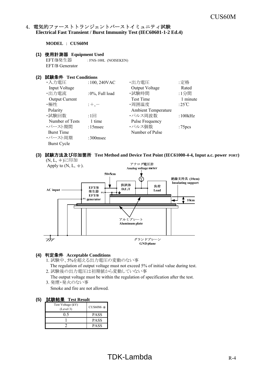#### 4. 電気的ファーストトランジェントバーストイミュニティ試験 **Electrical Fast Transient / Burst Immunity Test (IEC60601-1-2 Ed.4)**

**MODEL** : **CUS60M**

#### **(1)** 使用計測器 **Equipment Used**

EFT/B発生器 : FNS-100L (NOISEKEN) EFT/B Generator

#### **(2)** 試験条件 **Test Conditions**

| ・入力電圧                 | $:100, 240$ VAC | ・出力電圧                      | :定格                |
|-----------------------|-----------------|----------------------------|--------------------|
| Input Voltage         |                 | Output Voltage             | Rated              |
| ・出力電流                 | :0%, Full load  | ・試験時間                      | :1分間               |
| <b>Output Current</b> |                 | <b>Test Time</b>           | 1 minute           |
| ・極性                   | $;+, -$         | ·周囲温度                      | :25°C              |
| Polarity              |                 | <b>Ambient Temperature</b> |                    |
| ・試験回数                 | $:1\Box$        | ・パルス周波数                    | :100kHz            |
| Number of Tests       | 1 time          | Pulse Frequency            |                    |
| ・バースト期間               | $:15$ msec      | ・パルス個数                     | :75 <sub>pcs</sub> |
| <b>Burst Time</b>     |                 | Number of Pulse            |                    |
| ・バースト周期               | $:300$ msec     |                            |                    |
| <b>Burst Cycle</b>    |                 |                            |                    |

#### **(3)** 試験方法及び印加箇所 **Test Method and Device Test Point (IEC61000-4-4, Input a.c. power PORT)**



#### **(4)** 判定条件 **Acceptable Conditions**

- 1. 試験中、5%を超える出力電圧の変動のない事
	- The regulation of output voltage must not exceed 5% of initial value during test.
- 2. 試験後の出力電圧は初期値から変動していない事
- The output voltage must be within the regulation of specification after the test. 3. 発煙・発火のない事
	- Smoke and fire are not allowed.

| Test Voltage (kV)<br>(Level 3) | $CUS60M-*$  |
|--------------------------------|-------------|
|                                | PASS        |
|                                | <b>PASS</b> |
|                                | <b>PASS</b> |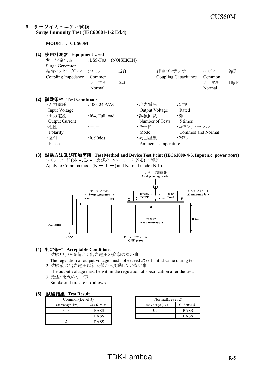#### 5.サージイミュニティ試験 **Surge Immunity Test (IEC60601-1-2 Ed.4)**

**MODEL** : **CUS60M**

| (1) | 使用計測器 Equipment Used   |                    |            |                            |                      |        |           |
|-----|------------------------|--------------------|------------|----------------------------|----------------------|--------|-----------|
|     | サージ発生器                 | : $LSS-F03$        | (NOISEKEN) |                            |                      |        |           |
|     | <b>Surge Generator</b> |                    |            |                            |                      |        |           |
|     | 結合インピーダンス :コモン         |                    | $12\Omega$ | 結合コンデンサ                    |                      | :コモン   | $9 \mu F$ |
|     | Coupling Impedance     | Common             |            |                            | Coupling Capacitance | Common |           |
|     |                        | ノーマル               | $2\Omega$  |                            |                      | ノーマル   | $18\mu F$ |
|     |                        | Normal             |            |                            |                      | Normal |           |
|     |                        |                    |            |                            |                      |        |           |
| (2) | 試験条件 Test Conditions   |                    |            |                            |                      |        |           |
|     | ・入力電圧                  | $:100,240$ VAC     |            | ・出力電圧                      | :定格                  |        |           |
|     | Input Voltage          |                    |            | Output Voltage             | Rated                |        |           |
|     | ・出力電流                  | $:0\%$ , Full load |            | ・試験回数                      | $:5\Box$             |        |           |
|     | <b>Output Current</b>  |                    |            | Number of Tests            | 5 times              |        |           |
|     | ・極性                    | $: +, -$           |            | ・モード                       | :コモン、ノーマル            |        |           |
|     | Polarity               |                    |            | Mode                       | Common and Normal    |        |           |
|     | ・位相                    | $:0,90$ deg        |            | ・周囲温度                      | :25°C                |        |           |
|     | Phase                  |                    |            | <b>Ambient Temperature</b> |                      |        |           |
|     |                        |                    |            |                            |                      |        |           |

**(3)** 試験方法及び印加箇所 **Test Method and Device Test Point (IEC61000-4-5, Input a.c. power PORT)** コモンモード (N- +, L- +) 及びノーマルモード (N-L) に印加

Apply to Common mode ( $N-\frac{+}{2}$ , L $-\frac{+}{2}$ ) and Normal mode (N-L). アナログ電圧計 Analog voltage meter ⊙ サージ発生器 アルミプレート 供試体 負荷 Aluminum plate Surge generator  $D.U.T$ Load  $_{\rm FG}$ ДL,  $_{\rm FG}$ FG п 0.<br>Sm 木製台 Wood made table AC input  $\overline{\overline{z}}$ グランドプレーン **GND** plane

#### **(4)** 判定条件 **Acceptable Conditions**

- 1. 試験中、5%を超える出力電圧の変動のない事
- The regulation of output voltage must not exceed 5% of initial value during test.
- 2. 試験後の出力電圧は初期値から変動していない事

The output voltage must be within the regulation of specification after the test.

3. 発煙・発火のない事

Smoke and fire are not allowed.

#### **(5)** 試験結果 **Test Result**

| $F = 1.5$<br>----------- |             |                   |    |  |
|--------------------------|-------------|-------------------|----|--|
| Common(Level 3)          |             | Normal(Level 2)   |    |  |
| Test Voltage (kV)        | $CUS60M-*$  | Test Voltage (kV) | Cl |  |
|                          | <b>PASS</b> |                   |    |  |
|                          | <b>PASS</b> |                   |    |  |
|                          | <b>PASS</b> |                   |    |  |

|             |                   | Normal(Level 2) |  |  |
|-------------|-------------------|-----------------|--|--|
| CUS60M-∗    | Test Voltage (kV) | $CUS60M-$ *     |  |  |
| <b>PASS</b> |                   | <b>PASS</b>     |  |  |
| <b>PASS</b> |                   | <b>PASS</b>     |  |  |

#### $TDK-Lambda$  R-5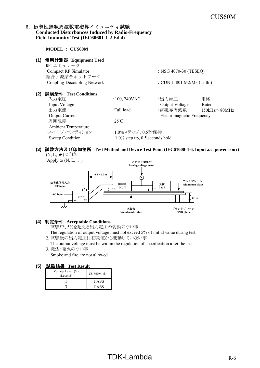#### 6. 伝導性無線周波数電磁界イミュニティ試験 **Conducted Disturbances Induced by Radio-Frequency Field Immunity Test (IEC60601-1-2 Ed.4)**

**MODEL** : **CUS60M (1)** 使用計測器 **Equipment Used** RF エミュレータ Compact RF Simulator : NSG 4070-30 (TESEQ) 結合/減結合ネットワーク Coupling-Decoupling Network : CDN L-801 M2/M3 (Liithi) **(2)** 試験条件 **Test Conditions** ・入力電圧 ・出力電圧 :定格 :100, 240VAC Input Voltage Output Voltage Rated ・出力電流 :Full load ・電磁界周波数 :150kHz~80MHz Output Current **Electromagnetic Frequency** ・周囲温度 :25℃ Ambient Temperature ・スイープ・コンディション :1.0%ステップ、0.5秒保持 Sweep Condition 1.0% step up, 0.5 seconds hold

#### **(3)** 試験方法及び印加箇所 **Test Method and Device Test Point (IEC61000-4-6, Input a.c. power PORT)** (N, L, +)に印加





#### **(4)** 判定条件 **Acceptable Conditions**

- 1. 試験中、5%を超える出力電圧の変動のない事 The regulation of output voltage must not exceed 5% of initial value during test.
- 2. 試験後の出力電圧は初期値から変動していない事 The output voltage must be within the regulation of specification after the test.
- 3. 発煙・発火のない事 Smoke and fire are not allowed.

| Voltage Level (V)<br>(Level 2) | $CUS60M-*$  |
|--------------------------------|-------------|
|                                | <b>PASS</b> |
|                                | PASS        |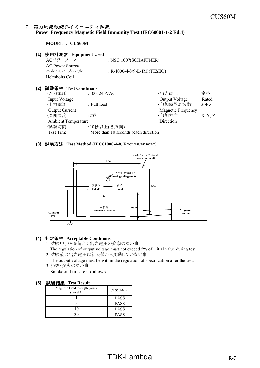#### 7.電力周波数磁界イミュニティ試験 **Power Frequency Magnetic Field Immunity Test (IEC60601-1-2 Ed.4)**

**MODEL** : **CUS60M**

#### **(1)** 使用計測器 **Equipment Used**

ACパワーソース : NSG 1007(SCHAFFNER) AC Power Source ヘルムホルツコイル : R-1000-4-8/9-L-1M (TESEQ) Helmholts Coil

#### **(2)** 試験条件 **Test Conditions**

| ・入力電圧                      | $:100,240$ VAC                        | ・出力電圧                     | :定格      |
|----------------------------|---------------------------------------|---------------------------|----------|
| <b>Input Voltage</b>       |                                       | Output Voltage            | Rated    |
| ・出力電流                      | : Full load                           | ·印加磁界周波数                  | : $50Hz$ |
| <b>Output Current</b>      |                                       | <b>Magnetic Frequency</b> |          |
| ・周囲温度                      | :25 $\degree$ C                       | ·印加方向                     | :X, Y, Z |
| <b>Ambient Temperature</b> |                                       | Direction                 |          |
| ・試験時間                      | :10秒以上(各方向)                           |                           |          |
| Test Time                  | More than 10 seconds (each direction) |                           |          |

#### **(3)** 試験方法 **Test Method (IEC61000-4-8, ENCLOSURE PORT)**



#### **(4)** 判定条件 **Acceptable Conditions**

- 1. 試験中、5%を超える出力電圧の変動のない事 The regulation of output voltage must not exceed 5% of initial value during test.
- 2. 試験後の出力電圧は初期値から変動していない事
- The output voltage must be within the regulation of specification after the test. 3. 発煙・発火のない事

Smoke and fire are not allowed.

| Magnetic Field Strength (A/m)<br>(Level 4) | $CUS60M-*$  |
|--------------------------------------------|-------------|
|                                            | <b>PASS</b> |
|                                            | <b>PASS</b> |
|                                            | <b>PASS</b> |
|                                            | <b>PASS</b> |